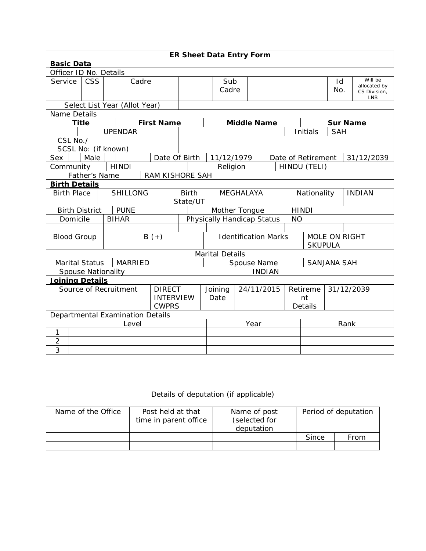| <b>ER Sheet Data Entry Form</b>                                            |                                       |  |                               |                               |                              |                             |                                         |                        |                              |                                        |  |                    |                    |                                                |  |            |
|----------------------------------------------------------------------------|---------------------------------------|--|-------------------------------|-------------------------------|------------------------------|-----------------------------|-----------------------------------------|------------------------|------------------------------|----------------------------------------|--|--------------------|--------------------|------------------------------------------------|--|------------|
| <b>Basic Data</b>                                                          |                                       |  |                               |                               |                              |                             |                                         |                        |                              |                                        |  |                    |                    |                                                |  |            |
| Officer ID No. Details                                                     |                                       |  |                               |                               |                              |                             |                                         |                        |                              |                                        |  |                    |                    |                                                |  |            |
| Service                                                                    | <b>CSS</b><br>Cadre                   |  |                               |                               |                              | Sub<br>Cadre                |                                         |                        |                              |                                        |  | Id<br>No.          |                    | Will be<br>allocated by<br>CS Division,<br>LNB |  |            |
|                                                                            |                                       |  | Select List Year (Allot Year) |                               |                              |                             |                                         |                        |                              |                                        |  |                    |                    |                                                |  |            |
| Name Details                                                               |                                       |  |                               |                               |                              |                             |                                         |                        |                              |                                        |  |                    |                    |                                                |  |            |
| <b>Title</b>                                                               |                                       |  |                               |                               | <b>First Name</b>            |                             |                                         |                        |                              | <b>Middle Name</b>                     |  |                    |                    | <b>Sur Name</b>                                |  |            |
|                                                                            |                                       |  | <b>UPENDAR</b>                |                               |                              |                             |                                         |                        |                              |                                        |  |                    | Initials           | <b>SAH</b>                                     |  |            |
| CSL No./                                                                   |                                       |  |                               |                               |                              |                             |                                         |                        |                              |                                        |  |                    |                    |                                                |  |            |
| SCSL No: (if known)                                                        |                                       |  |                               |                               |                              |                             |                                         |                        |                              |                                        |  |                    |                    |                                                |  |            |
| Sex                                                                        | Male                                  |  |                               |                               | Date Of Birth                |                             |                                         | 11/12/1979             |                              |                                        |  |                    | Date of Retirement |                                                |  | 31/12/2039 |
| Community                                                                  |                                       |  | <b>HINDI</b>                  |                               |                              |                             |                                         | Religion               |                              |                                        |  |                    | HINDU (TELI)       |                                                |  |            |
| Father's Name<br>RAM KISHORE SAH                                           |                                       |  |                               |                               |                              |                             |                                         |                        |                              |                                        |  |                    |                    |                                                |  |            |
| <b>Birth Details</b>                                                       |                                       |  |                               |                               |                              |                             |                                         |                        |                              |                                        |  |                    |                    |                                                |  |            |
|                                                                            | <b>SHILLONG</b><br><b>Birth Place</b> |  |                               | <b>Birth</b>                  | <b>MEGHALAYA</b><br>State/UT |                             |                                         |                        | Nationality<br><b>INDIAN</b> |                                        |  |                    |                    |                                                |  |            |
| <b>Birth District</b>                                                      |                                       |  | <b>PUNE</b>                   |                               |                              |                             | Mother Tongue<br><b>HINDI</b>           |                        |                              |                                        |  |                    |                    |                                                |  |            |
| Domicile                                                                   |                                       |  | <b>BIHAR</b>                  |                               |                              |                             | Physically Handicap Status<br><b>NO</b> |                        |                              |                                        |  |                    |                    |                                                |  |            |
|                                                                            |                                       |  |                               |                               |                              |                             |                                         |                        |                              |                                        |  |                    |                    |                                                |  |            |
| <b>Blood Group</b>                                                         |                                       |  |                               | $B (+)$                       |                              | <b>Identification Marks</b> |                                         |                        |                              | <b>MOLE ON RIGHT</b><br><b>SKUPULA</b> |  |                    |                    |                                                |  |            |
|                                                                            |                                       |  |                               |                               |                              |                             |                                         | <b>Marital Details</b> |                              |                                        |  |                    |                    |                                                |  |            |
| Marital Status                                                             |                                       |  | <b>MARRIED</b>                |                               |                              |                             |                                         | Spouse Name            |                              |                                        |  | <b>SANJANA SAH</b> |                    |                                                |  |            |
| <b>Spouse Nationality</b>                                                  |                                       |  |                               |                               |                              |                             |                                         | <b>INDIAN</b>          |                              |                                        |  |                    |                    |                                                |  |            |
| Joining Details                                                            |                                       |  |                               |                               |                              |                             |                                         |                        |                              |                                        |  |                    |                    |                                                |  |            |
| Source of Recruitment<br><b>DIRECT</b><br><b>INTERVIEW</b><br><b>CWPRS</b> |                                       |  |                               | 24/11/2015<br>Joining<br>Date |                              |                             | 31/12/2039<br>Retireme<br>nt<br>Details |                        |                              |                                        |  |                    |                    |                                                |  |            |
| Departmental Examination Details                                           |                                       |  |                               |                               |                              |                             |                                         |                        |                              |                                        |  |                    |                    |                                                |  |            |
| Level                                                                      |                                       |  |                               |                               |                              |                             | Year                                    |                        |                              | Rank                                   |  |                    |                    |                                                |  |            |
| 1                                                                          |                                       |  |                               |                               |                              |                             |                                         |                        |                              |                                        |  |                    |                    |                                                |  |            |
| $\overline{2}$                                                             |                                       |  |                               |                               |                              |                             |                                         |                        |                              |                                        |  |                    |                    |                                                |  |            |
| 3                                                                          |                                       |  |                               |                               |                              |                             |                                         |                        |                              |                                        |  |                    |                    |                                                |  |            |

## Details of deputation (if applicable)

| Name of the Office | Post held at that<br>time in parent office | Name of post<br>(selected for<br>deputation | Period of deputation |      |  |
|--------------------|--------------------------------------------|---------------------------------------------|----------------------|------|--|
|                    |                                            |                                             | Since                | From |  |
|                    |                                            |                                             |                      |      |  |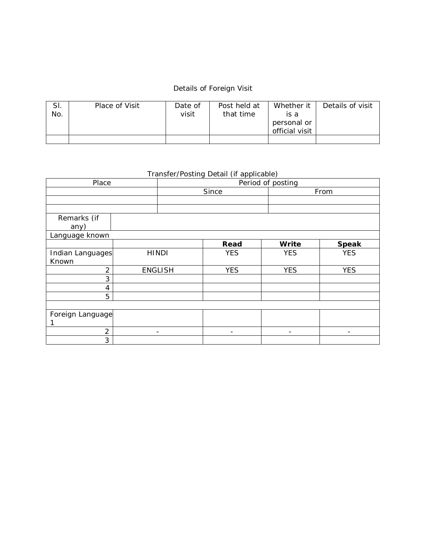## Details of Foreign Visit

| SI.<br>No. | Place of Visit | Date of<br>visit | Post held at<br>that time | Whether it<br>is a<br>personal or<br>official visit | Details of visit |
|------------|----------------|------------------|---------------------------|-----------------------------------------------------|------------------|
|            |                |                  |                           |                                                     |                  |

## Transfer/Posting Detail (if applicable)

| Place            |              | Period of posting        |            |                          |              |  |  |  |
|------------------|--------------|--------------------------|------------|--------------------------|--------------|--|--|--|
|                  |              |                          | Since      |                          | From         |  |  |  |
|                  |              |                          |            |                          |              |  |  |  |
|                  |              |                          |            |                          |              |  |  |  |
| Remarks (if      |              |                          |            |                          |              |  |  |  |
| any)             |              |                          |            |                          |              |  |  |  |
| Language known   |              |                          |            |                          |              |  |  |  |
|                  |              |                          | Read       | Write                    | <b>Speak</b> |  |  |  |
| Indian Languages | <b>HINDI</b> |                          | <b>YES</b> | <b>YES</b>               | <b>YES</b>   |  |  |  |
| Known            |              |                          |            |                          |              |  |  |  |
| $\overline{2}$   |              | <b>ENGLISH</b>           | <b>YES</b> | <b>YES</b>               | <b>YES</b>   |  |  |  |
| 3                |              |                          |            |                          |              |  |  |  |
| 4                |              |                          |            |                          |              |  |  |  |
| 5                |              |                          |            |                          |              |  |  |  |
|                  |              |                          |            |                          |              |  |  |  |
| Foreign Language |              |                          |            |                          |              |  |  |  |
|                  |              |                          |            |                          |              |  |  |  |
| 2                |              | $\overline{\phantom{a}}$ |            | $\overline{\phantom{a}}$ |              |  |  |  |
| 3                |              |                          |            |                          |              |  |  |  |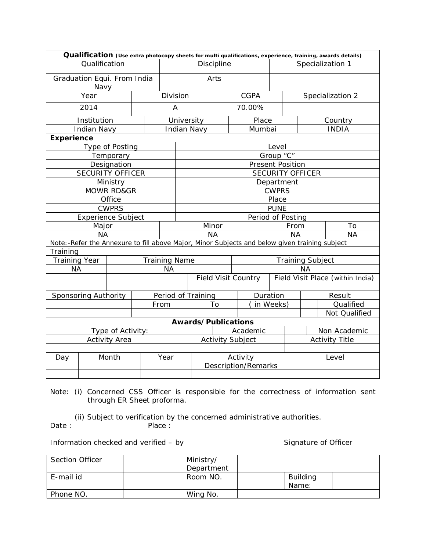|                                     | Qualification (Use extra photocopy sheets for multi qualifications, experience, training, awards details) |      |          |                            |  |             |                         |                                  |                         |               |  |
|-------------------------------------|-----------------------------------------------------------------------------------------------------------|------|----------|----------------------------|--|-------------|-------------------------|----------------------------------|-------------------------|---------------|--|
|                                     | Qualification                                                                                             |      |          | Discipline                 |  |             |                         | Specialization 1                 |                         |               |  |
| Graduation Equi. From India<br>Navy |                                                                                                           |      |          | Arts                       |  |             |                         |                                  |                         |               |  |
| Year                                |                                                                                                           |      |          | Division                   |  | <b>CGPA</b> |                         | Specialization 2                 |                         |               |  |
| 2014                                |                                                                                                           |      |          |                            |  | 70.00%      |                         |                                  |                         |               |  |
|                                     | Institution                                                                                               |      |          | University                 |  | Place       |                         | Country                          |                         |               |  |
|                                     | <b>Indian Navy</b>                                                                                        |      |          | <b>Indian Navy</b>         |  | Mumbai      |                         | <b>INDIA</b>                     |                         |               |  |
| <b>Experience</b>                   |                                                                                                           |      |          |                            |  |             |                         |                                  |                         |               |  |
|                                     | Type of Posting                                                                                           |      |          |                            |  |             | Level                   |                                  |                         |               |  |
|                                     | Temporary                                                                                                 |      |          |                            |  |             | Group "C"               |                                  |                         |               |  |
|                                     | Designation                                                                                               |      |          |                            |  |             | <b>Present Position</b> |                                  |                         |               |  |
|                                     | <b>SECURITY OFFICER</b>                                                                                   |      |          |                            |  |             |                         |                                  | <b>SECURITY OFFICER</b> |               |  |
|                                     | Ministry                                                                                                  |      |          | Department                 |  |             |                         |                                  |                         |               |  |
|                                     | <b>MOWR RD&amp;GR</b>                                                                                     |      |          | <b>CWPRS</b>               |  |             |                         |                                  |                         |               |  |
|                                     | Office                                                                                                    |      |          | Place                      |  |             |                         |                                  |                         |               |  |
|                                     | <b>CWPRS</b>                                                                                              |      |          | <b>PUNE</b>                |  |             |                         |                                  |                         |               |  |
|                                     | <b>Experience Subject</b>                                                                                 |      |          | Period of Posting          |  |             |                         |                                  |                         |               |  |
|                                     | Major                                                                                                     |      |          | Minor                      |  |             |                         | From                             |                         | Τo            |  |
|                                     | <b>NA</b>                                                                                                 |      |          | <b>NA</b>                  |  |             |                         | <b>NA</b>                        |                         | <b>NA</b>     |  |
|                                     | Note: -Refer the Annexure to fill above Major, Minor Subjects and below given training subject            |      |          |                            |  |             |                         |                                  |                         |               |  |
| Training                            |                                                                                                           |      |          |                            |  |             |                         |                                  |                         |               |  |
| <b>Training Year</b>                |                                                                                                           |      |          | <b>Training Name</b>       |  |             |                         | <b>Training Subject</b>          |                         |               |  |
| <b>NA</b>                           |                                                                                                           |      |          | <b>NA</b>                  |  |             |                         | ΝA                               |                         |               |  |
|                                     |                                                                                                           |      |          | <b>Field Visit Country</b> |  |             |                         | Field Visit Place (within India) |                         |               |  |
|                                     |                                                                                                           |      |          |                            |  |             |                         |                                  |                         |               |  |
|                                     | Sponsoring Authority                                                                                      |      |          | Period of Training         |  | Duration    |                         |                                  |                         | Result        |  |
|                                     |                                                                                                           |      | From     | To                         |  |             |                         | in Weeks)                        |                         | Qualified     |  |
|                                     |                                                                                                           |      |          |                            |  |             |                         |                                  |                         | Not Qualified |  |
|                                     |                                                                                                           |      |          | Awards/Publications        |  |             |                         |                                  |                         |               |  |
|                                     | Type of Activity:                                                                                         |      | Academic |                            |  |             | Non Academic            |                                  |                         |               |  |
| <b>Activity Area</b>                |                                                                                                           |      |          | <b>Activity Subject</b>    |  |             |                         | <b>Activity Title</b>            |                         |               |  |
|                                     |                                                                                                           |      |          |                            |  |             |                         |                                  |                         |               |  |
| Day                                 | Month                                                                                                     | Year |          | Activity                   |  |             |                         | Level                            |                         |               |  |
|                                     |                                                                                                           |      |          | <b>Description/Remarks</b> |  |             |                         |                                  |                         |               |  |
|                                     |                                                                                                           |      |          |                            |  |             |                         |                                  |                         |               |  |

Note: (i) Concerned CSS Officer is responsible for the correctness of information sent through ER Sheet proforma.

(ii) Subject to verification by the concerned administrative authorities.<br>
Date: Place: Place :

Information checked and verified – by Signature of Officer

| <b>Section Officer</b> | Ministry/  |                          |  |
|------------------------|------------|--------------------------|--|
|                        | Department |                          |  |
| E-mail id              | Room NO.   | <b>Building</b><br>Name: |  |
| Phone NO.              | Wing No.   |                          |  |